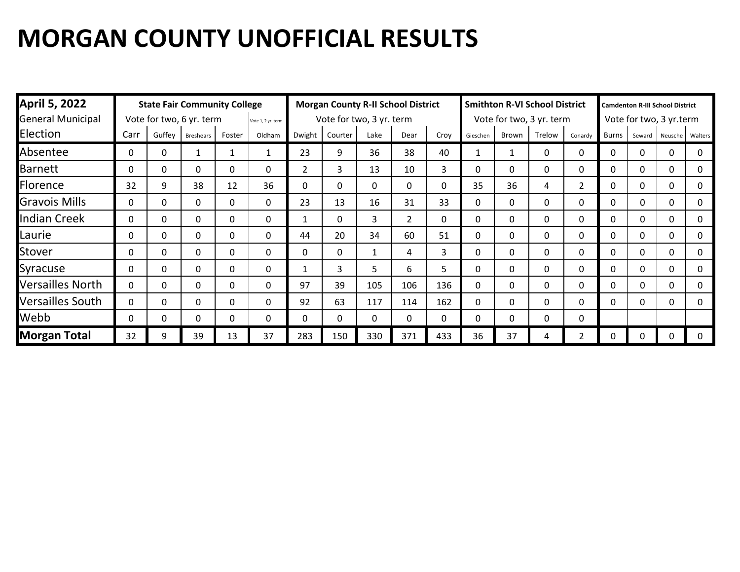| <b>April 5, 2022</b>     |                                                |              | <b>State Fair Community College</b> |        |                          |                | <b>Morgan County R-II School District</b> |          |                |              | <b>Smithton R-VI School District</b> |       |              |                | <b>Camdenton R-III School District</b> |                         |         |         |  |
|--------------------------|------------------------------------------------|--------------|-------------------------------------|--------|--------------------------|----------------|-------------------------------------------|----------|----------------|--------------|--------------------------------------|-------|--------------|----------------|----------------------------------------|-------------------------|---------|---------|--|
| <b>General Municipal</b> | Vote for two, 6 yr. term<br>Vote 1, 2 yr. term |              |                                     |        | Vote for two, 3 yr. term |                |                                           |          |                |              | Vote for two, 3 yr. term             |       |              |                |                                        | Vote for two, 3 yr.term |         |         |  |
| Election                 | Carr                                           | Guffey       | <b>Breshears</b>                    | Foster | Oldham                   | Dwight         | Courter                                   | Lake     | Dear           | Croy         | Gieschen                             | Brown | Trelow       | Conardy        | <b>Burns</b>                           | Seward                  | Neusche | Walters |  |
| Absentee                 | 0                                              | 0            |                                     |        |                          | 23             | 9                                         | 36       | 38             | 40           |                                      |       | 0            | 0              | 0                                      | 0                       | 0       | 0       |  |
| <b>Barnett</b>           | 0                                              | 0            | 0                                   | 0      | 0                        | $\overline{2}$ | 3                                         | 13       | 10             | 3            | $\Omega$                             | 0     | $\mathbf{0}$ | 0              | 0                                      | $\mathbf{0}$            | 0       | 0       |  |
| Florence                 | 32                                             | 9            | 38                                  | 12     | 36                       | $\Omega$       | 0                                         | 0        | 0              | $\mathbf{0}$ | 35                                   | 36    | 4            | $\overline{2}$ | 0                                      | $\mathbf{0}$            | 0       | 0       |  |
| <b>Gravois Mills</b>     | $\Omega$                                       | 0            | 0                                   | 0      | 0                        | 23             | 13                                        | 16       | 31             | 33           | <sup>0</sup>                         | 0     | $\mathbf{0}$ | 0              | 0                                      | 0                       | 0       | 0       |  |
| <b>Indian Creek</b>      | $\Omega$                                       | 0            | 0                                   | 0      | 0                        | $\mathbf{1}$   | $\Omega$                                  | 3        | $\overline{2}$ | $\mathbf{0}$ | 0                                    | 0     | $\mathbf{0}$ | $\Omega$       | 0                                      | 0                       | 0       | 0       |  |
| Laurie                   | 0                                              | 0            | $\Omega$                            | 0      | 0                        | 44             | 20                                        | 34       | 60             | 51           | $\Omega$                             | 0     | $\mathbf{0}$ | 0              | 0                                      | 0                       | 0       | 0       |  |
| Stover                   | 0                                              | 0            | $\Omega$                            | 0      | 0                        | $\Omega$       | 0                                         | 1        | 4              | 3            | 0                                    | 0     | $\Omega$     | 0              | 0                                      | 0                       | 0       | 0       |  |
| Syracuse                 | 0                                              | 0            | 0                                   | 0      | 0                        | $\mathbf{1}$   | 3                                         | 5        | 6              | 5            | 0                                    | 0     | $\mathbf{0}$ | 0              | 0                                      | 0                       | 0       | 0       |  |
| <b>Versailles North</b>  | $\mathbf{0}$                                   | 0            | $\Omega$                            | 0      | 0                        | 97             | 39                                        | 105      | 106            | 136          | 0                                    | 0     | $\mathbf{0}$ | 0              | 0                                      | 0                       | 0       | 0       |  |
| <b>Versailles South</b>  | $\mathbf{0}$                                   | $\mathbf{0}$ | 0                                   | 0      | 0                        | 92             | 63                                        | 117      | 114            | 162          | 0                                    | 0     | $\mathbf{0}$ | 0              | 0                                      | 0                       | 0       | 0       |  |
| Webb                     | 0                                              | 0            | 0                                   | 0      | 0                        | 0              | $\Omega$                                  | $\Omega$ | 0              | $\mathbf{0}$ | 0                                    | 0     | $\mathbf{0}$ | 0              |                                        |                         |         |         |  |
| <b>Morgan Total</b>      | 32                                             | 9            | 39                                  | 13     | 37                       | 283            | 150                                       | 330      | 371            | 433          | 36                                   | 37    | 4            | 2              |                                        |                         | 0       |         |  |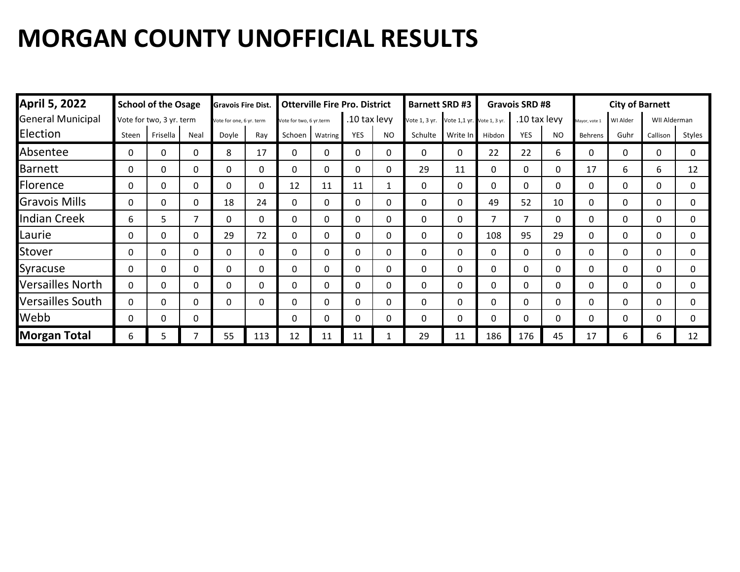| <b>April 5, 2022</b>     |          | <b>School of the Osage</b> |          | <b>Gravois Fire Dist.</b> |          |                         | <b>Otterville Fire Pro. District</b> |              |              | <b>Barnett SRD #3</b>                    |              |              | <b>Gravois SRD #8</b> |           | <b>City of Barnett</b> |              |              |              |
|--------------------------|----------|----------------------------|----------|---------------------------|----------|-------------------------|--------------------------------------|--------------|--------------|------------------------------------------|--------------|--------------|-----------------------|-----------|------------------------|--------------|--------------|--------------|
| <b>General Municipal</b> |          | Vote for two, 3 yr. term   |          | Vote for one, 6 yr. term  |          | Vote for two, 6 yr.term |                                      | .10 tax levy |              | Vote 1, 3 yr. Vote 1,1 yr. Vote 1, 3 yr. |              |              | .10 tax levy          |           | Mayor, vote 1          | WI Alder     | WII Alderman |              |
| Election                 | Steen    | Frisella                   | Neal     | Dovle                     | Ray      | Schoen                  | Watring                              | <b>YES</b>   | NO.          | Schulte                                  | Write In     | Hibdon       | <b>YES</b>            | <b>NO</b> | Behrens                | Guhr         | Callison     | Styles       |
| Absentee                 | 0        | 0                          | 0        | 8                         | 17       | 0                       | 0                                    | 0            | 0            | 0                                        | 0            | 22           | 22                    | 6         | 0                      | $\Omega$     | 0            | $\mathbf 0$  |
| <b>Barnett</b>           | 0        | $\Omega$                   | 0        | $\Omega$                  | $\Omega$ | 0                       | $\Omega$                             | $\Omega$     | 0            | 29                                       | 11           | 0            | $\Omega$              | 0         | 17                     | 6            | 6            | 12           |
| Florence                 | 0        | 0                          | 0        | $\mathbf{0}$              | $\Omega$ | 12                      | 11                                   | 11           | $\mathbf{1}$ | $\mathbf{0}$                             | $\mathbf{0}$ | 0            | 0                     | 0         | $\mathbf{0}$           | $\Omega$     | 0            | $\Omega$     |
| <b>Gravois Mills</b>     | 0        | 0                          | $\Omega$ | 18                        | 24       | 0                       | 0                                    | $\mathbf{0}$ | 0            | 0                                        | 0            | 49           | 52                    | 10        | 0                      | $\Omega$     | 0            | $\mathbf{0}$ |
| Indian Creek             | 6        | 5.                         | 7        | 0                         | 0        | 0                       | 0                                    | $\Omega$     | 0            | 0                                        | 0            | 7            | 7                     | 0         | 0                      | $\mathbf{0}$ | 0            | $\mathbf{0}$ |
| Laurie                   | 0        | 0                          | 0        | 29                        | 72       | 0                       | $\Omega$                             | $\mathbf{0}$ | 0            | 0                                        | $\mathbf{0}$ | 108          | 95                    | 29        | $\mathbf{0}$           | $\mathbf{0}$ | 0            | $\Omega$     |
| Stover                   | 0        | 0                          | 0        | $\Omega$                  | 0        | 0                       | 0                                    | $\mathbf{0}$ | 0            | 0                                        | $\mathbf{0}$ | 0            | 0                     | 0         | 0                      | $\Omega$     | 0            | $\Omega$     |
| Syracuse                 | $\Omega$ | 0                          | $\Omega$ | $\Omega$                  | $\Omega$ | 0                       | $\mathbf{0}$                         | $\mathbf{0}$ | 0            | 0                                        | 0            | 0            | $\Omega$              | 0         | 0                      | $\Omega$     | 0            | $\Omega$     |
| <b>Versailles North</b>  | 0        | 0                          | 0        | $\Omega$                  | 0        | 0                       | $\Omega$                             | 0            | 0            | $\mathbf{0}$                             | $\mathbf{0}$ | 0            | 0                     | 0         | 0                      | $\Omega$     | 0            | $\Omega$     |
| <b>Versailles South</b>  | 0        | 0                          | 0        | $\Omega$                  | 0        | 0                       | $\mathbf{0}$                         | 0            | 0            | 0                                        | 0            | $\mathbf{0}$ | $\Omega$              | 0         | 0                      | 0            | 0            | $\Omega$     |
| Webb                     | 0        | $\Omega$                   | 0        |                           |          | 0                       | $\Omega$                             | $\Omega$     | 0            | $\Omega$                                 | 0            | $\Omega$     | $\Omega$              | 0         | $\Omega$               | $\Omega$     | 0            | $\Omega$     |
| <b>Morgan Total</b>      | 6        | . כ                        |          | 55                        | 113      | 12                      | 11                                   | 11           |              | 29                                       | 11           | 186          | 176                   | 45        | 17                     | 6            | 6            | 12           |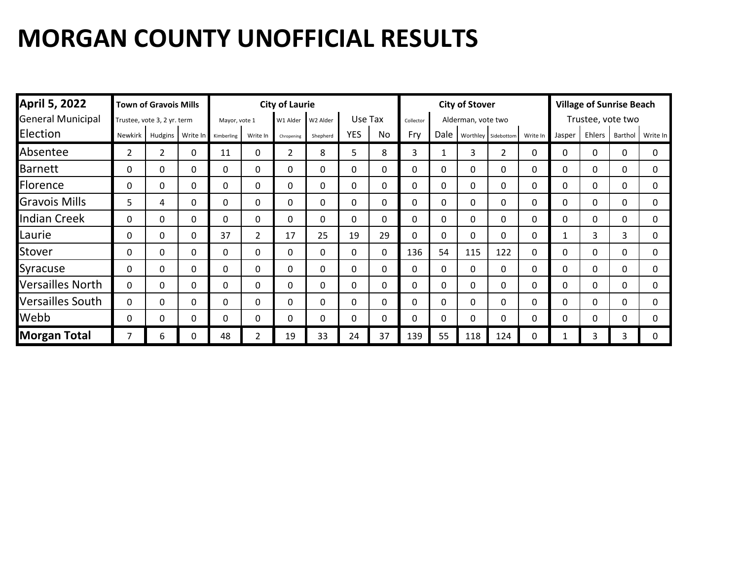| <b>April 5, 2022</b>     |                | <b>Town of Gravois Mills</b> |              |               |          | <b>City of Laurie</b> |          |            |              |           |              | <b>City of Stover</b> |                     |          | <b>Village of Sunrise Beach</b> |        |                   |          |
|--------------------------|----------------|------------------------------|--------------|---------------|----------|-----------------------|----------|------------|--------------|-----------|--------------|-----------------------|---------------------|----------|---------------------------------|--------|-------------------|----------|
| <b>General Municipal</b> |                | Trustee, vote 3, 2 yr. term  |              | Mayor, vote 1 |          | W1 Alder              | W2 Alder | Use Tax    |              | Collector |              | Alderman, vote two    |                     |          |                                 |        | Trustee, vote two |          |
| Election                 | Newkirk        | Hudgins                      | Write In     | Kimberling    | Write In | Chropening            | Shepherd | <b>YES</b> | No           | Fry       | Dale         |                       | Worthley Sidebottom | Write In | Jasper                          | Ehlers | Barthol           | Write In |
| Absentee                 | $\overline{2}$ | 2                            | 0            | 11            | 0        | 2                     | 8        | 5          | 8            | 3         |              | 3                     | $\overline{2}$      | 0        | 0                               | 0      | 0                 | 0        |
| <b>Barnett</b>           | 0              | $\Omega$                     | 0            | $\mathbf{0}$  | $\Omega$ | $\mathbf{0}$          | 0        | $\Omega$   | $\mathbf{0}$ | 0         | $\mathbf{0}$ | 0                     | $\mathbf{0}$        | 0        | 0                               | 0      | 0                 | $\Omega$ |
| Florence                 | 0              | $\Omega$                     | 0            | 0             | $\Omega$ | $\mathbf{0}$          | 0        | $\Omega$   | 0            | 0         | $\mathbf{0}$ | 0                     | $\mathbf{0}$        | 0        | 0                               | 0      | 0                 | 0        |
| <b>Gravois Mills</b>     | 5              | 4                            | $\mathbf{0}$ | $\Omega$      | 0        | $\mathbf{0}$          | 0        | $\Omega$   | 0            | $\Omega$  | $\mathbf{0}$ | 0                     | 0                   | 0        | 0                               | 0      | $\Omega$          | 0        |
| <b>Indian Creek</b>      | 0              | 0                            | 0            | 0             | $\Omega$ | 0                     | 0        | 0          | 0            | 0         | $\mathbf{0}$ | 0                     | $\mathbf{0}$        | 0        | 0                               | 0      | 0                 | 0        |
| Laurie                   | 0              | $\Omega$                     | 0            | 37            | 2        | 17                    | 25       | 19         | 29           | $\Omega$  | $\Omega$     | 0                     | 0                   | 0        | 1                               | 3      | 3                 | 0        |
| Stover                   | 0              | 0                            | 0            | 0             | $\Omega$ | 0                     | 0        | 0          | 0            | 136       | 54           | 115                   | 122                 | 0        | 0                               | 0      | 0                 | $\Omega$ |
| Syracuse                 | 0              | 0                            | 0            | 0             | 0        | 0                     | 0        | $\Omega$   | 0            | 0         | $\Omega$     | 0                     | 0                   | 0        | $\Omega$                        | 0      | 0                 | 0        |
| <b>Versailles North</b>  | 0              | $\Omega$                     | 0            | 0             | $\Omega$ | $\mathbf{0}$          | 0        | $\Omega$   | 0            | $\Omega$  | $\Omega$     | 0                     | $\Omega$            | 0        | $\mathbf{0}$                    | 0      | 0                 | 0        |
| <b>Versailles South</b>  | 0              | 0                            | 0            | $\mathbf{0}$  | $\Omega$ | $\mathbf{0}$          | 0        | 0          | 0            | $\Omega$  | $\Omega$     | 0                     | 0                   | 0        | 0                               | 0      | 0                 | 0        |
| Webb                     | 0              | 0                            | 0            | $\Omega$      | $\Omega$ | 0                     | 0        | $\Omega$   | 0            | $\Omega$  | 0            | 0                     | 0                   | 0        | 0                               | 0      | $\Omega$          | $\Omega$ |
| <b>Morgan Total</b>      |                | 6                            | 0            | 48            | 2        | 19                    | 33       | 24         | 37           | 139       | 55           | 118                   | 124                 | 0        |                                 | 3      | 3                 |          |